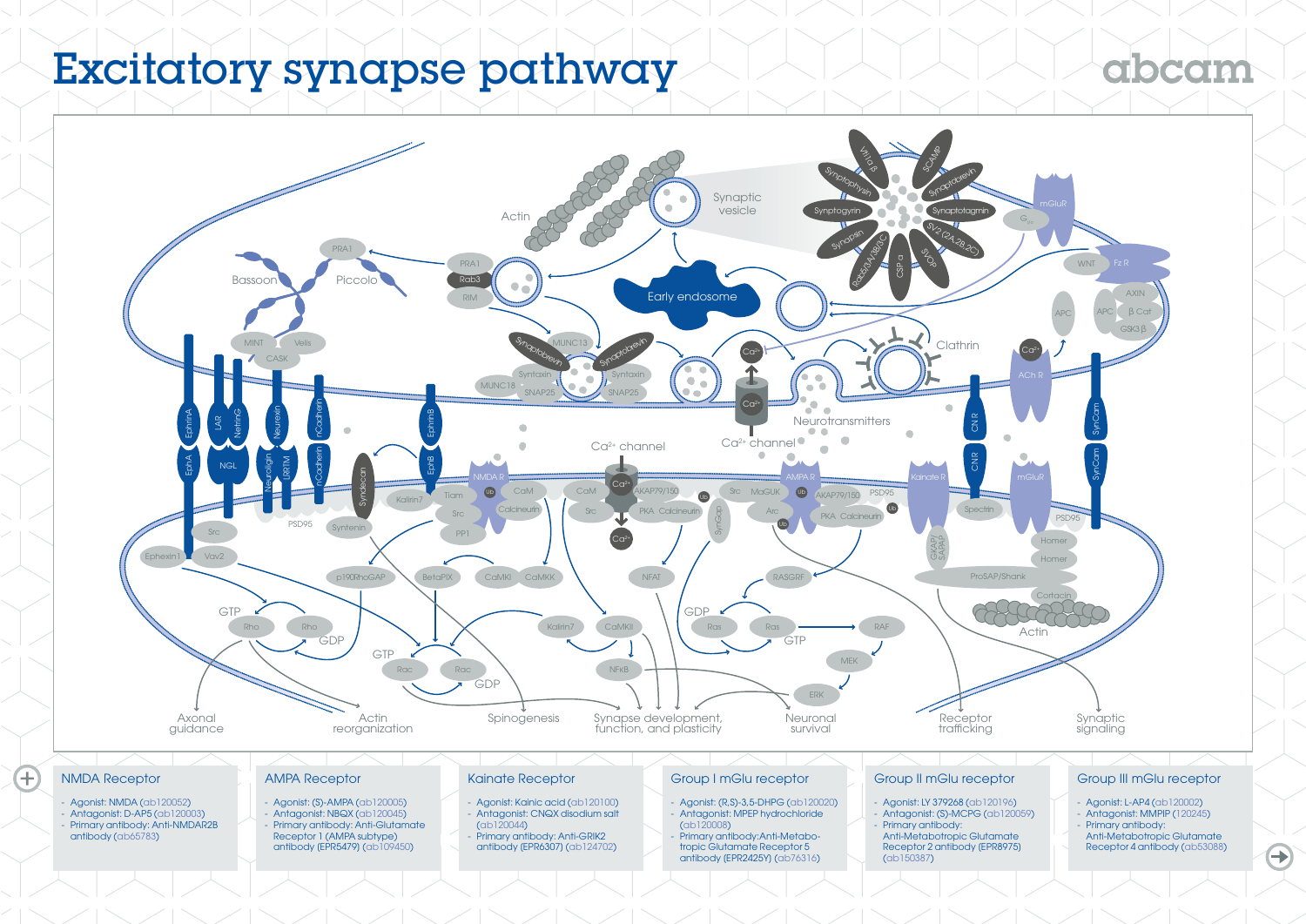# Excitatory synapse pathway

# gbcgm



### NMDA Receptor

 $\overline{\mathbf{f}}$ 

- Agonist: NMDA [\(ab120052\)](http://www.abcam.com/nmda-ab120052.html)
- Antagonist: D-AP5 [\(ab120003\)](http://www.abcam.com/d-ap5-ab120003.html) - Primary antibody: Anti-NMDAR2B
- antibody [\(ab65783\)](http://www.abcam.com/nmdar2b-antibody-ab65783.html)

### AMPA Receptor

- Agonist: (S)-AMPA ([ab120005](http://www.abcam.com/s-ampa-ab120005.html)) - Antagonist: NBQX [\(ab120045\)](http://www.abcam.com/nbqx-ab120045.html) - Primary antibody: Anti-Glutamate Receptor 1 (AMPA subtype) antibody [EPR5479] ([ab109450](http://www.abcam.com/glutamate-receptor-1-ampa-subtype-antibody-epr5479-ab109450.html))

### Kainate Receptor

- Agonist: Kainic acid [\(ab120100\)](http://www.abcam.com/kainic-acid-ab120100.html) Antagonist: CNQX disodium salt
- ([ab120044](http://www.abcam.com/cnqx-disodium-salt-ab120044.html))
- Primary antibody: Anti-GRIK2 antibody [EPR6307] ([ab124702](http://www.abcam.com/grik2-antibody-epr6307-ab124702.html))

## Group I mGlu receptor

- Agonist: (R,S)-3,5-DHPG [\(ab120020\)](http://www.abcam.com/rs-35-dhpg-ab120020.html) - Antagonist: MPEP hydrochloride [\(ab120008\)](http://www.abcam.com/mpep-hydrochloride-ab120008.html)
	- Primary antibody: Anti-Metabotropic Glutamate Receptor 5 antibody [EPR2425Y] [\(ab76316\)](http://www.abcam.com/metabotropic-glutamate-receptor-5-antibody-epr2425y-ab76316.html)

#### Group II mGlu receptor

- Agonist: LY 379268 ([ab120196](http://www.abcam.com/ly-379268-ab120196.html))
- Antagonist: (S)-MCPG [\(ab120059\)](http://www.abcam.com/s-mcpg-ab120059.html) Primary antibody: Anti-Metabotropic Glutamate
- Receptor 2 antibody [EPR8975] [\(ab150387\)](http://www.abcam.com/metabotropic-glutamate-receptor-2-antibody-epr8975-ab150387.html)

## Group III mGlu receptor

- 
- Agonist: L-AP4 ([ab120002](http://www.abcam.com/l-ap4-ab120002.html)) - Antagonist: MMPIP ([120245](http://www.abcam.com/mmpip-ab120245.html))
- Primary antibody:
- Anti-Metabotropic Glutamate Receptor 4 antibody ([ab53088\)](http://www.abcam.com/metabotropic-glutamate-receptor-4-antibody-ab53088.html)

 $\bigoplus$